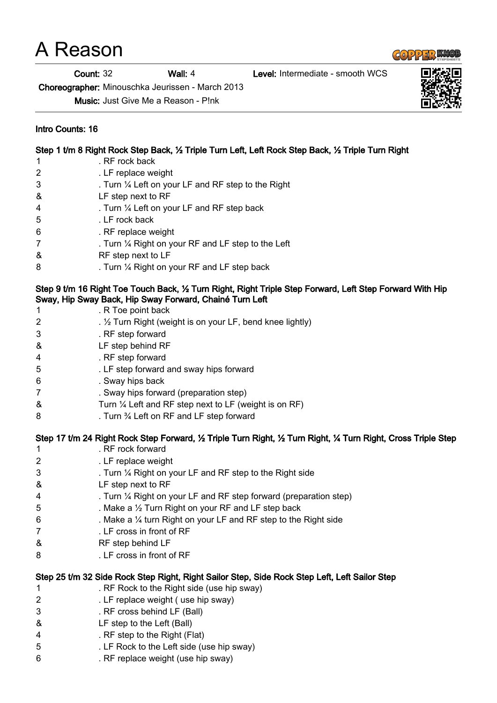## A Reason

Count: 32 Wall: 4 Level: Intermediate - smooth WCS

Choreographer: Minouschka Jeurissen - March 2013

Music: Just Give Me a Reason - P!nk

## Intro Counts: 16

|                                                                                                                                                                      | Step 1 t/m 8 Right Rock Step Back, 1/2 Triple Turn Left, Left Rock Step Back, 1/2 Triple Turn Right |  |
|----------------------------------------------------------------------------------------------------------------------------------------------------------------------|-----------------------------------------------------------------------------------------------------|--|
|                                                                                                                                                                      | . RF rock back<br>1                                                                                 |  |
|                                                                                                                                                                      | 2<br>. LF replace weight                                                                            |  |
|                                                                                                                                                                      | 3<br>. Turn $\frac{1}{4}$ Left on your LF and RF step to the Right                                  |  |
|                                                                                                                                                                      | LF step next to RF<br>&                                                                             |  |
|                                                                                                                                                                      | . Turn 1/4 Left on your LF and RF step back<br>4                                                    |  |
|                                                                                                                                                                      | . LF rock back<br>5                                                                                 |  |
|                                                                                                                                                                      | . RF replace weight<br>6                                                                            |  |
|                                                                                                                                                                      | 7<br>. Turn $\frac{1}{4}$ Right on your RF and LF step to the Left                                  |  |
|                                                                                                                                                                      | &<br>RF step next to LF                                                                             |  |
|                                                                                                                                                                      | 8<br>. Turn 1/4 Right on your RF and LF step back                                                   |  |
| Step 9 t/m 16 Right Toe Touch Back, 1/2 Turn Right, Right Triple Step Forward, Left Step Forward With Hip<br>Sway, Hip Sway Back, Hip Sway Forward, Chainé Turn Left |                                                                                                     |  |
|                                                                                                                                                                      | . R Toe point back<br>1                                                                             |  |
|                                                                                                                                                                      | 2<br>. $\frac{1}{2}$ Turn Right (weight is on your LF, bend knee lightly)                           |  |
|                                                                                                                                                                      | 3<br>. RF step forward                                                                              |  |
|                                                                                                                                                                      | LF step behind RF<br>&                                                                              |  |
|                                                                                                                                                                      | . RF step forward<br>4                                                                              |  |
|                                                                                                                                                                      | 5<br>. LF step forward and sway hips forward                                                        |  |
|                                                                                                                                                                      | . Sway hips back<br>6                                                                               |  |
|                                                                                                                                                                      | $\overline{7}$<br>. Sway hips forward (preparation step)                                            |  |
|                                                                                                                                                                      | &<br>Turn 1/4 Left and RF step next to LF (weight is on RF)                                         |  |
|                                                                                                                                                                      | 8<br>. Turn 3⁄4 Left on RF and LF step forward                                                      |  |
|                                                                                                                                                                      |                                                                                                     |  |

## Step 17 t/m 24 Right Rock Step Forward, ½ Triple Turn Right, ½ Turn Right, ¼ Turn Right, Cross Triple Step

| 1 | . RF rock forward                                                                             |
|---|-----------------------------------------------------------------------------------------------|
| 2 | . LF replace weight                                                                           |
| 3 | . Turn $\frac{1}{4}$ Right on your LF and RF step to the Right side                           |
| & | LF step next to RF                                                                            |
| 4 | . Turn 1/4 Right on your LF and RF step forward (preparation step)                            |
| 5 | . Make a $\frac{1}{2}$ Turn Right on your RF and LF step back                                 |
| 6 | . Make a $\frac{1}{4}$ turn Right on your LF and RF step to the Right side                    |
| 7 | . LF cross in front of RF                                                                     |
| & | RF step behind LF                                                                             |
| 8 | . LF cross in front of RF                                                                     |
|   | Step 25 t/m 32 Side Rock Step Right, Right Sailor Step, Side Rock Step Left, Left Sailor Step |
| 1 | . RF Rock to the Right side (use hip sway)                                                    |
| 2 | . LF replace weight (use hip sway)                                                            |
| 3 | . RF cross behind LF (Ball)                                                                   |
| & | LF step to the Left (Ball)                                                                    |
| 4 | . RF step to the Right (Flat)                                                                 |
| 5 | . LF Rock to the Left side (use hip sway)                                                     |

6 . RF replace weight (use hip sway)